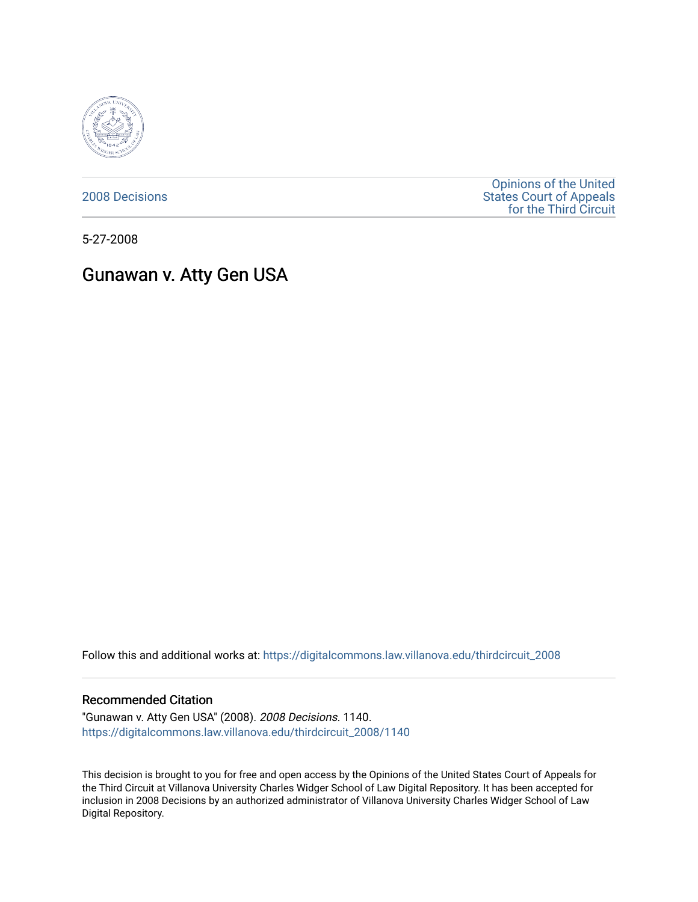

[2008 Decisions](https://digitalcommons.law.villanova.edu/thirdcircuit_2008)

[Opinions of the United](https://digitalcommons.law.villanova.edu/thirdcircuit)  [States Court of Appeals](https://digitalcommons.law.villanova.edu/thirdcircuit)  [for the Third Circuit](https://digitalcommons.law.villanova.edu/thirdcircuit) 

5-27-2008

# Gunawan v. Atty Gen USA

Follow this and additional works at: [https://digitalcommons.law.villanova.edu/thirdcircuit\\_2008](https://digitalcommons.law.villanova.edu/thirdcircuit_2008?utm_source=digitalcommons.law.villanova.edu%2Fthirdcircuit_2008%2F1140&utm_medium=PDF&utm_campaign=PDFCoverPages) 

#### Recommended Citation

"Gunawan v. Atty Gen USA" (2008). 2008 Decisions. 1140. [https://digitalcommons.law.villanova.edu/thirdcircuit\\_2008/1140](https://digitalcommons.law.villanova.edu/thirdcircuit_2008/1140?utm_source=digitalcommons.law.villanova.edu%2Fthirdcircuit_2008%2F1140&utm_medium=PDF&utm_campaign=PDFCoverPages) 

This decision is brought to you for free and open access by the Opinions of the United States Court of Appeals for the Third Circuit at Villanova University Charles Widger School of Law Digital Repository. It has been accepted for inclusion in 2008 Decisions by an authorized administrator of Villanova University Charles Widger School of Law Digital Repository.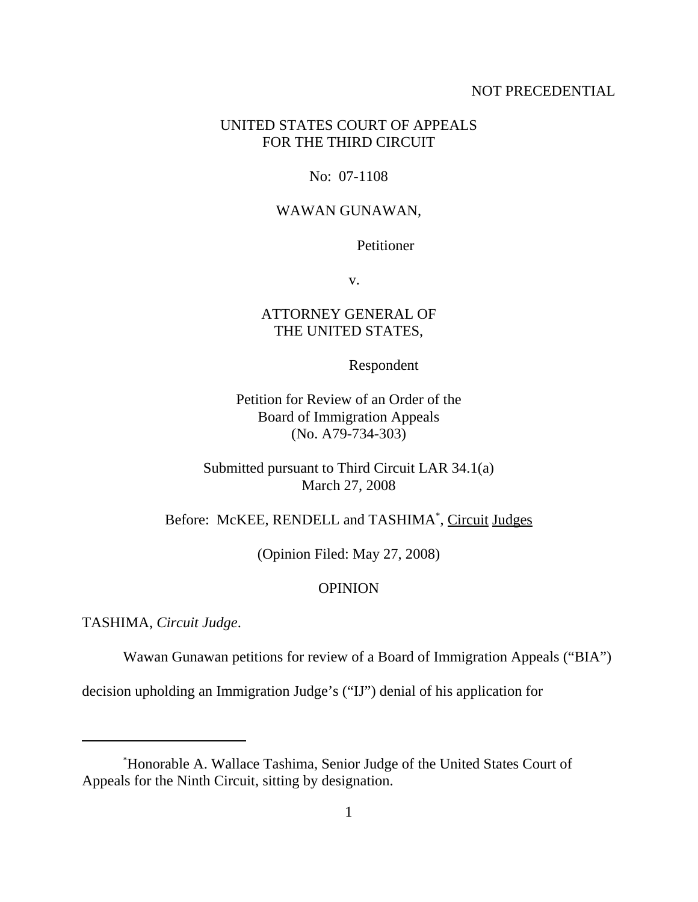# NOT PRECEDENTIAL

# UNITED STATES COURT OF APPEALS FOR THE THIRD CIRCUIT

# No: 07-1108

#### WAWAN GUNAWAN,

# Petitioner

v.

# ATTORNEY GENERAL OF THE UNITED STATES,

#### Respondent

Petition for Review of an Order of the Board of Immigration Appeals (No. A79-734-303)

Submitted pursuant to Third Circuit LAR 34.1(a) March 27, 2008

Before: McKEE, RENDELL and TASHIMA<sup>\*</sup>, Circuit Judges

(Opinion Filed: May 27, 2008)

# **OPINION**

TASHIMA, *Circuit Judge*.

Wawan Gunawan petitions for review of a Board of Immigration Appeals ("BIA")

decision upholding an Immigration Judge's ("IJ") denial of his application for

<sup>\*</sup> Honorable A. Wallace Tashima, Senior Judge of the United States Court of Appeals for the Ninth Circuit, sitting by designation.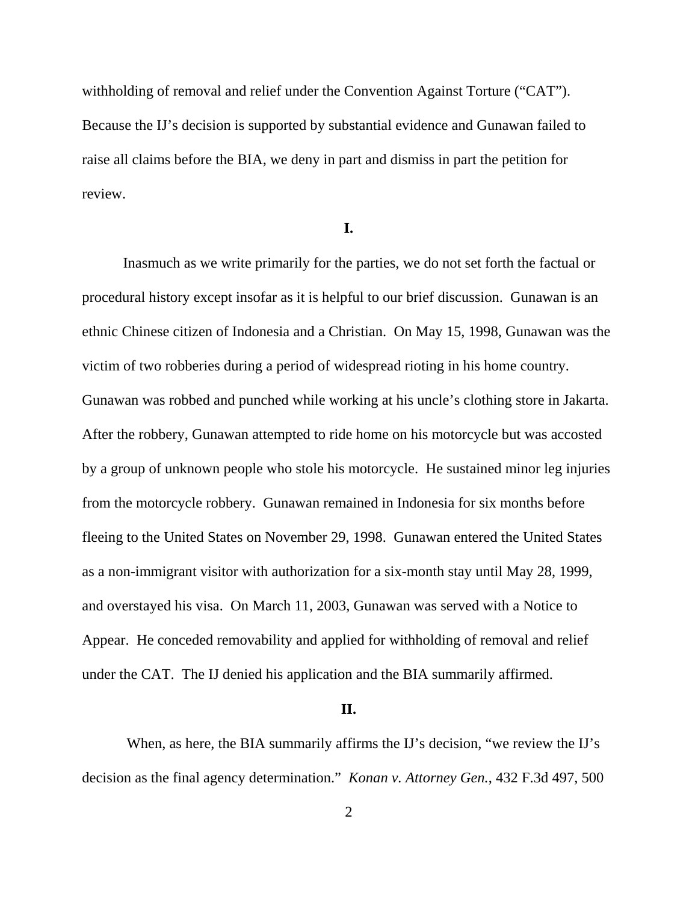withholding of removal and relief under the Convention Against Torture ("CAT"). Because the IJ's decision is supported by substantial evidence and Gunawan failed to raise all claims before the BIA, we deny in part and dismiss in part the petition for review.

# **I.**

Inasmuch as we write primarily for the parties, we do not set forth the factual or procedural history except insofar as it is helpful to our brief discussion. Gunawan is an ethnic Chinese citizen of Indonesia and a Christian. On May 15, 1998, Gunawan was the victim of two robberies during a period of widespread rioting in his home country. Gunawan was robbed and punched while working at his uncle's clothing store in Jakarta. After the robbery, Gunawan attempted to ride home on his motorcycle but was accosted by a group of unknown people who stole his motorcycle. He sustained minor leg injuries from the motorcycle robbery. Gunawan remained in Indonesia for six months before fleeing to the United States on November 29, 1998. Gunawan entered the United States as a non-immigrant visitor with authorization for a six-month stay until May 28, 1999, and overstayed his visa. On March 11, 2003, Gunawan was served with a Notice to Appear. He conceded removability and applied for withholding of removal and relief under the CAT. The IJ denied his application and the BIA summarily affirmed.

# **II.**

 When, as here, the BIA summarily affirms the IJ's decision, "we review the IJ's decision as the final agency determination." *Konan v. Attorney Gen.*, 432 F.3d 497, 500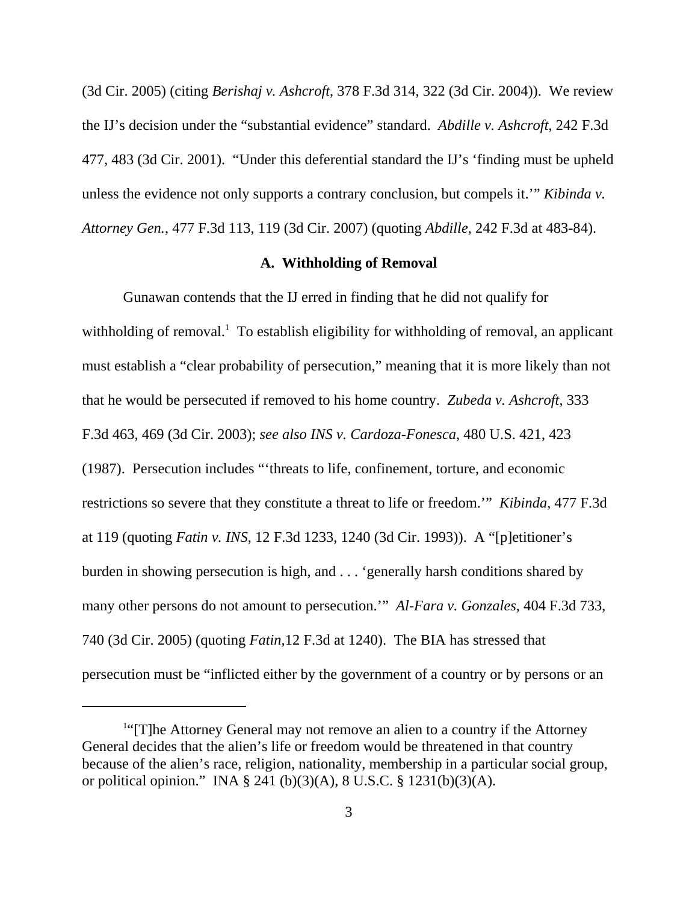(3d Cir. 2005) (citing *Berishaj v. Ashcroft*, 378 F.3d 314, 322 (3d Cir. 2004)). We review the IJ's decision under the "substantial evidence" standard. *Abdille v. Ashcroft*, 242 F.3d 477, 483 (3d Cir. 2001). "Under this deferential standard the IJ's 'finding must be upheld unless the evidence not only supports a contrary conclusion, but compels it.'" *Kibinda v. Attorney Gen.*, 477 F.3d 113, 119 (3d Cir. 2007) (quoting *Abdille*, 242 F.3d at 483-84).

# **A. Withholding of Removal**

Gunawan contends that the IJ erred in finding that he did not qualify for withholding of removal.<sup>1</sup> To establish eligibility for withholding of removal, an applicant must establish a "clear probability of persecution," meaning that it is more likely than not that he would be persecuted if removed to his home country. *Zubeda v. Ashcroft*, 333 F.3d 463, 469 (3d Cir. 2003); *see also INS v. Cardoza-Fonesca*, 480 U.S. 421, 423 (1987). Persecution includes "'threats to life, confinement, torture, and economic restrictions so severe that they constitute a threat to life or freedom.'" *Kibinda*, 477 F.3d at 119 (quoting *Fatin v. INS*, 12 F.3d 1233, 1240 (3d Cir. 1993)). A "[p]etitioner's burden in showing persecution is high, and . . . 'generally harsh conditions shared by many other persons do not amount to persecution.'" *Al-Fara v. Gonzales*, 404 F.3d 733, 740 (3d Cir. 2005) (quoting *Fatin,*12 F.3d at 1240). The BIA has stressed that persecution must be "inflicted either by the government of a country or by persons or an

<sup>&</sup>lt;sup>1"</sup>[T]he Attorney General may not remove an alien to a country if the Attorney General decides that the alien's life or freedom would be threatened in that country because of the alien's race, religion, nationality, membership in a particular social group, or political opinion." INA § 241 (b)(3)(A), 8 U.S.C. § 1231(b)(3)(A).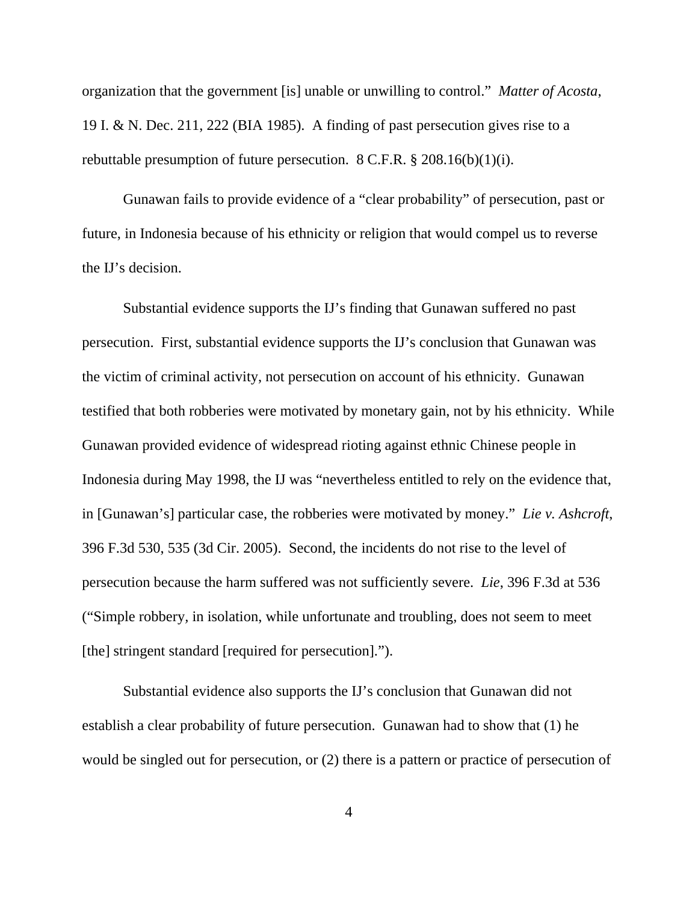organization that the government [is] unable or unwilling to control." *Matter of Acosta*, 19 I. & N. Dec. 211, 222 (BIA 1985). A finding of past persecution gives rise to a rebuttable presumption of future persecution. 8 C.F.R. § 208.16(b)(1)(i).

Gunawan fails to provide evidence of a "clear probability" of persecution, past or future, in Indonesia because of his ethnicity or religion that would compel us to reverse the IJ's decision.

Substantial evidence supports the IJ's finding that Gunawan suffered no past persecution. First, substantial evidence supports the IJ's conclusion that Gunawan was the victim of criminal activity, not persecution on account of his ethnicity. Gunawan testified that both robberies were motivated by monetary gain, not by his ethnicity. While Gunawan provided evidence of widespread rioting against ethnic Chinese people in Indonesia during May 1998, the IJ was "nevertheless entitled to rely on the evidence that, in [Gunawan's] particular case, the robberies were motivated by money." *Lie v. Ashcroft*, 396 F.3d 530, 535 (3d Cir. 2005). Second, the incidents do not rise to the level of persecution because the harm suffered was not sufficiently severe. *Lie*, 396 F.3d at 536 ("Simple robbery*,* in isolation, while unfortunate and troubling, does not seem to meet [the] stringent standard [required for persecution].").

Substantial evidence also supports the IJ's conclusion that Gunawan did not establish a clear probability of future persecution. Gunawan had to show that (1) he would be singled out for persecution, or (2) there is a pattern or practice of persecution of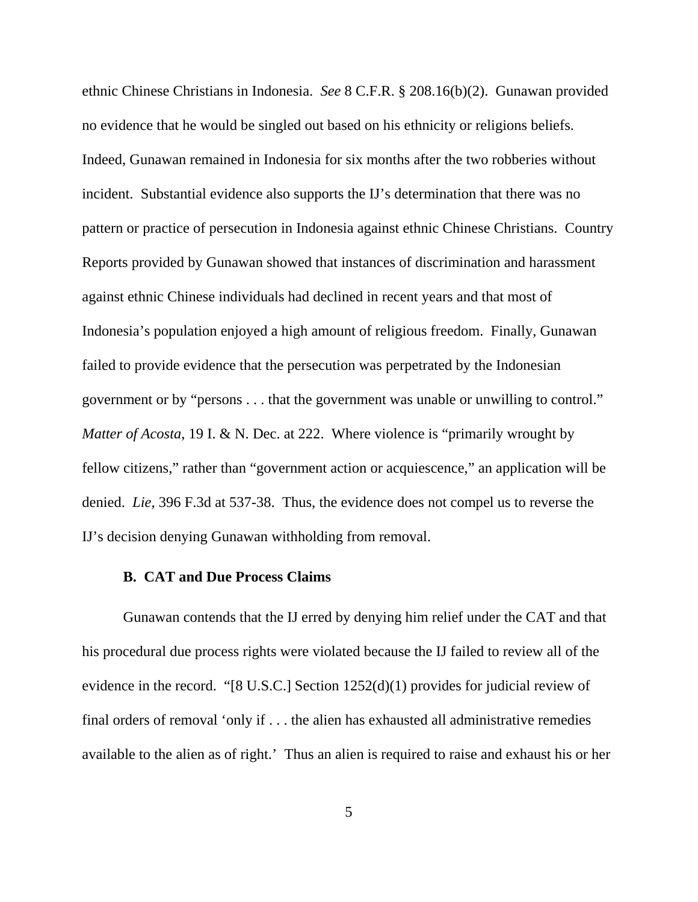ethnic Chinese Christians in Indonesia. *See* 8 C.F.R. § 208.16(b)(2). Gunawan provided no evidence that he would be singled out based on his ethnicity or religions beliefs. Indeed, Gunawan remained in Indonesia for six months after the two robberies without incident. Substantial evidence also supports the IJ's determination that there was no pattern or practice of persecution in Indonesia against ethnic Chinese Christians. Country Reports provided by Gunawan showed that instances of discrimination and harassment against ethnic Chinese individuals had declined in recent years and that most of Indonesia's population enjoyed a high amount of religious freedom. Finally, Gunawan failed to provide evidence that the persecution was perpetrated by the Indonesian government or by "persons . . . that the government was unable or unwilling to control." *Matter of Acosta*, 19 I. & N. Dec. at 222. Where violence is "primarily wrought by fellow citizens," rather than "government action or acquiescence," an application will be denied. *Lie*, 396 F.3d at 537-38. Thus, the evidence does not compel us to reverse the IJ's decision denying Gunawan withholding from removal.

# **B. CAT and Due Process Claims**

Gunawan contends that the IJ erred by denying him relief under the CAT and that his procedural due process rights were violated because the IJ failed to review all of the evidence in the record. "[8 U.S.C.] Section 1252(d)(1) provides for judicial review of final orders of removal 'only if . . . the alien has exhausted all administrative remedies available to the alien as of right.' Thus an alien is required to raise and exhaust his or her